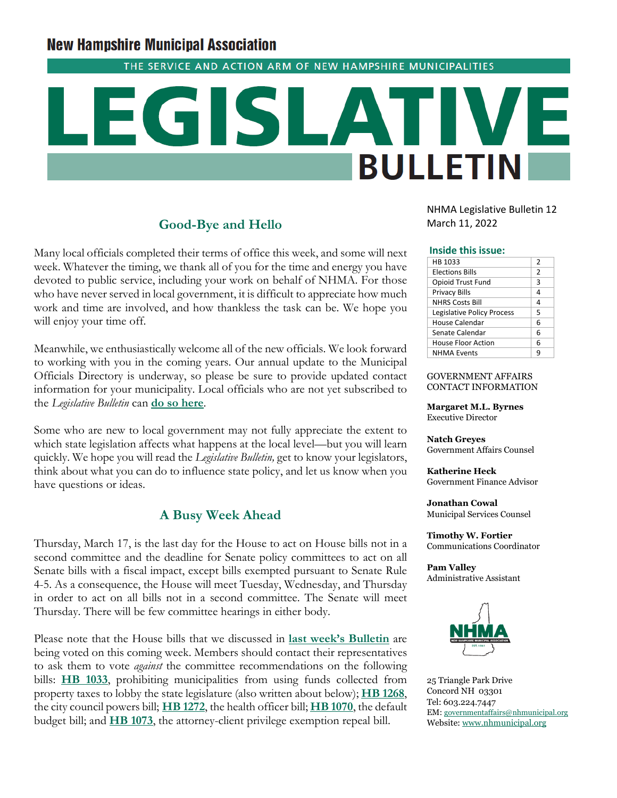# **New Hampshire Municipal Association**

THE SERVICE AND ACTION ARM OF NEW HAMPSHIRE MUNICIPALITIES

# **BULLETIN**

#### **Good-Bye and Hello**

Many local officials completed their terms of office this week, and some will next week. Whatever the timing, we thank all of you for the time and energy you have devoted to public service, including your work on behalf of NHMA. For those who have never served in local government, it is difficult to appreciate how much work and time are involved, and how thankless the task can be. We hope you will enjoy your time off.

Meanwhile, we enthusiastically welcome all of the new officials. We look forward to working with you in the coming years. Our annual update to the Municipal Officials Directory is underway, so please be sure to provide updated contact information for your municipality. Local officials who are not yet subscribed to the *Legislative Bulletin* can **[do so here](https://mailchi.mp/nhmunicipal/legislative_bulletin)**.

Some who are new to local government may not fully appreciate the extent to which state legislation affects what happens at the local level—but you will learn quickly. We hope you will read the *Legislative Bulletin,* get to know your legislators, think about what you can do to influence state policy, and let us know when you have questions or ideas.

#### **A Busy Week Ahead**

Thursday, March 17, is the last day for the House to act on House bills not in a second committee and the deadline for Senate policy committees to act on all Senate bills with a fiscal impact, except bills exempted pursuant to Senate Rule 4-5. As a consequence, the House will meet Tuesday, Wednesday, and Thursday in order to act on all bills not in a second committee. The Senate will meet Thursday. There will be few committee hearings in either body.

Please note that the House bills that we discussed in **[last week's B](https://www.nhmunicipal.org/legislative-bulletin/2022-nhma-legislative-bulletin-11)ulletin** are being voted on this coming week. Members should contact their representatives to ask them to vote *against* the committee recommendations on the following bills: **[HB 1033](http://www.gencourt.state.nh.us/bill_status/pdf.aspx?id=32154&q=amendment)**, prohibiting municipalities from using funds collected from property taxes to lobby the state legislature (also written about below); **[HB 1268](http://www.gencourt.state.nh.us/bill_status/pdf.aspx?id=31674&q=amendment)**, the city council powers bill; **[HB 1272](http://www.gencourt.state.nh.us/bill_status/pdf.aspx?id=31672&q=amendment)**, the health officer bill; **[HB 1070](http://www.gencourt.state.nh.us/bill_status/pdf.aspx?id=26094&q=billVersion)**, the default budget bill; and **[HB 1073](http://www.gencourt.state.nh.us/bill_status/pdf.aspx?id=31705&q=amendment)**, the attorney-client privilege exemption repeal bill.

NHMA Legislative Bulletin 12 March 11, 2022

#### **Inside this issue:**

| HB 1033                    | 2             |
|----------------------------|---------------|
| <b>Elections Bills</b>     | $\mathcal{P}$ |
| Opioid Trust Fund          | 3             |
| <b>Privacy Bills</b>       | 4             |
| <b>NHRS Costs Bill</b>     | 4             |
| Legislative Policy Process | 5             |
| House Calendar             | 6             |
| Senate Calendar            | 6             |
| House Floor Action         | 6             |
| <b>NHMA Events</b>         | q             |

#### GOVERNMENT AFFAIRS CONTACT INFORMATION

**Margaret M.L. Byrnes** Executive Director

**Natch Greyes** Government Affairs Counsel

**Katherine Heck**

Government Finance Advisor

**Jonathan Cowal** Municipal Services Counsel

**Timothy W. Fortier** Communications Coordinator

**Pam Valley** Administrative Assistant



25 Triangle Park Drive Concord NH 03301 Tel: 603.224.7447 EM: [governmentaffairs@nhmunicipal.org](mailto:governmentaffairs@nhmunicipal.org) Website: [www.nhmunicipal.org](http://www.nhmunicipal.org/)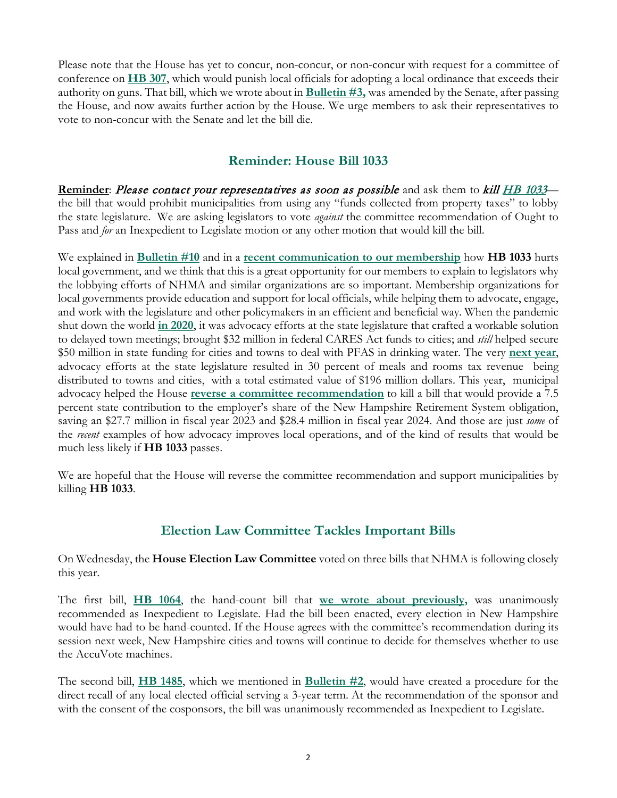Please note that the House has yet to concur, non-concur, or non-concur with request for a committee of conference on **[HB 307](http://www.gencourt.state.nh.us/bill_status/pdf.aspx?id=30034&q=billVersion)**, which would punish local officials for adopting a local ordinance that exceeds their authority on guns. That bill, which we wrote about in **[Bulletin #3,](https://www.nhmunicipal.org/legislative-bulletin/2022-nhma-legislative-bulletin-03#26289)** was amended by the Senate, after passing the House, and now awaits further action by the House. We urge members to ask their representatives to vote to non-concur with the Senate and let the bill die.

#### **Reminder: House Bill 1033**

**Reminder:** Please contact your representatives as soon as possible and ask them to kil[l HB 1033](http://www.gencourt.state.nh.us/bill_status/pdf.aspx?id=32154&q=amendment)– the bill that would prohibit municipalities from using any "funds collected from property taxes" to lobby the state legislature. We are asking legislators to vote *against* the committee recommendation of Ought to Pass and *for* an Inexpedient to Legislate motion or any other motion that would kill the bill.

We explained in **[Bulletin #10](https://www.nhmunicipal.org/legislative-bulletin/2022-nhma-legislative-bulletin-10)** and in a **[recent communication to our membership](https://mailchi.mp/nhmunicipal/webinar-new-703108)** how **HB 1033** hurts local government, and we think that this is a great opportunity for our members to explain to legislators why the lobbying efforts of NHMA and similar organizations are so important. Membership organizations for local governments provide education and support for local officials, while helping them to advocate, engage, and work with the legislature and other policymakers in an efficient and beneficial way. When the pandemic shut down the world **[in 2020](https://www.nhmunicipal.org/legislative-bulletin/2020-nhma-final-legislative-bulletin)**, it was advocacy efforts at the state legislature that crafted a workable solution to delayed town meetings; brought \$32 million in federal CARES Act funds to cities; and *still* helped secure \$50 million in state funding for cities and towns to deal with PFAS in drinking water. The very **[next year](https://www.nhmunicipal.org/legislative-bulletin/2021-nhma-legislative-bulletin-final)**, advocacy efforts at the state legislature resulted in 30 percent of meals and rooms tax revenue being distributed to towns and cities, with a total estimated value of \$196 million dollars. This year, municipal advocacy helped the House **[reverse a committee recommendation](https://www.nhmunicipal.org/legislative-bulletin/2022-nhma-legislative-bulletin-09#26684)** to kill a bill that would provide a 7.5 percent state contribution to the employer's share of the New Hampshire Retirement System obligation, saving an \$27.7 million in fiscal year 2023 and \$28.4 million in fiscal year 2024. And those are just *some* of the *recent* examples of how advocacy improves local operations, and of the kind of results that would be much less likely if **HB 1033** passes.

We are hopeful that the House will reverse the committee recommendation and support municipalities by killing **HB 1033**.

## **Election Law Committee Tackles Important Bills**

On Wednesday, the **House Election Law Committee** voted on three bills that NHMA is following closely this year.

The first bill, **[HB 1064](http://www.gencourt.state.nh.us/bill_status/pdf.aspx?id=26088&q=billVersion)**, the hand-count bill that **[we wrote about previously,](https://www.nhmunicipal.org/legislative-bulletin/2022-nhma-legislative-bulletin-03#26283)** was unanimously recommended as Inexpedient to Legislate. Had the bill been enacted, every election in New Hampshire would have had to be hand-counted. If the House agrees with the committee's recommendation during its session next week, New Hampshire cities and towns will continue to decide for themselves whether to use the AccuVote machines.

The second bill, **[HB 1485](http://www.gencourt.state.nh.us/bill_status/pdf.aspx?id=28433&q=billVersion)**, which we mentioned in **[Bulletin #2](https://www.nhmunicipal.org/legislative-bulletin/2022-nhma-legislative-bulletin-02)**, would have created a procedure for the direct recall of any local elected official serving a 3-year term. At the recommendation of the sponsor and with the consent of the cosponsors, the bill was unanimously recommended as Inexpedient to Legislate.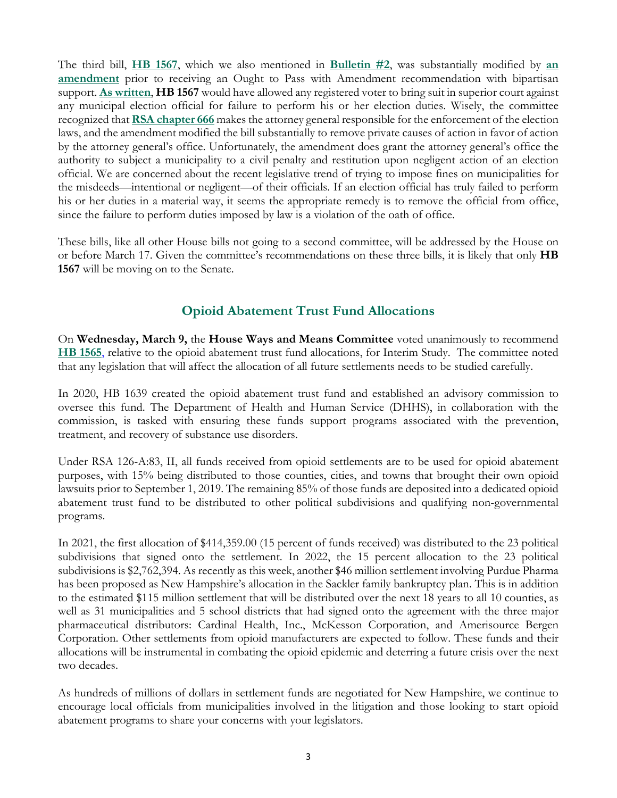The third bill, **[HB 1567](http://www.gencourt.state.nh.us/bill_status/billinfo.aspx?id=1579&inflect=2)**, which we also mentioned in **[Bulletin #2](https://www.nhmunicipal.org/legislative-bulletin/2022-nhma-legislative-bulletin-02)**, was substantially modified by **[an](http://www.gencourt.state.nh.us/bill_status/pdf.aspx?id=32657&q=amendment)  [amendment](http://www.gencourt.state.nh.us/bill_status/pdf.aspx?id=32657&q=amendment)** prior to receiving an Ought to Pass with Amendment recommendation with bipartisan support. **[As written](http://www.gencourt.state.nh.us/bill_status/pdf.aspx?id=28895&q=billVersion)**, **HB 1567** would have allowed any registered voter to bring suit in superior court against any municipal election official for failure to perform his or her election duties. Wisely, the committee recognized that **[RSA chapter 666](http://www.gencourt.state.nh.us/rsa/html/LXIII/666/666-mrg.htm)** makes the attorney general responsible for the enforcement of the election laws, and the amendment modified the bill substantially to remove private causes of action in favor of action by the attorney general's office. Unfortunately, the amendment does grant the attorney general's office the authority to subject a municipality to a civil penalty and restitution upon negligent action of an election official. We are concerned about the recent legislative trend of trying to impose fines on municipalities for the misdeeds—intentional or negligent—of their officials. If an election official has truly failed to perform his or her duties in a material way, it seems the appropriate remedy is to remove the official from office, since the failure to perform duties imposed by law is a violation of the oath of office.

These bills, like all other House bills not going to a second committee, will be addressed by the House on or before March 17. Given the committee's recommendations on these three bills, it is likely that only **HB 1567** will be moving on to the Senate.

# **Opioid Abatement Trust Fund Allocations**

On **Wednesday, March 9,** the **House Ways and Means Committee** voted unanimously to recommend **[HB 1565](https://nam04.safelinks.protection.outlook.com/?url=http%3A%2F%2Fwww.gencourt.state.nh.us%2Fbill_status%2Fpdf.aspx%3Fid%3D28893%26q%3DbillVersion&data=04%7C01%7C%7C59c3c48467554e23314408d9fc51f991%7C26291d41fe344e6ba3102f5bdf84590c%7C0%7C0%7C637818251439254548%7CUnknown%7CTWFpbGZsb3d8eyJWIjoiMC4wLjAwMDAiLCJQIjoiV2luMzIiLCJBTiI6Ik1haWwiLCJXVCI6Mn0%3D%7C3000&sdata=LpjjUyjqIk5TCvWGxUN1C2JRpZCdphizgZthsYj0%2BHw%3D&reserved=0)**, relative to the opioid abatement trust fund allocations, for Interim Study. The committee noted that any legislation that will affect the allocation of all future settlements needs to be studied carefully.

In 2020, HB 1639 created the opioid abatement trust fund and established an advisory commission to oversee this fund. The Department of Health and Human Service (DHHS), in collaboration with the commission, is tasked with ensuring these funds support programs associated with the prevention, treatment, and recovery of substance use disorders.

Under RSA 126-A:83, II, all funds received from opioid settlements are to be used for opioid abatement purposes, with 15% being distributed to those counties, cities, and towns that brought their own opioid lawsuits prior to September 1, 2019. The remaining 85% of those funds are deposited into a dedicated opioid abatement trust fund to be distributed to other political subdivisions and qualifying non-governmental programs.

In 2021, the first allocation of \$414,359.00 (15 percent of funds received) was distributed to the 23 political subdivisions that signed onto the settlement. In 2022, the 15 percent allocation to the 23 political subdivisions is \$2,762,394. As recently as this week, another \$46 million settlement involving Purdue Pharma has been proposed as New Hampshire's allocation in the Sackler family bankruptcy plan. This is in addition to the estimated \$115 million settlement that will be distributed over the next 18 years to all 10 counties, as well as 31 municipalities and 5 school districts that had signed onto the agreement with the three major pharmaceutical distributors: Cardinal Health, Inc., McKesson Corporation, and Amerisource Bergen Corporation. Other settlements from opioid manufacturers are expected to follow. These funds and their allocations will be instrumental in combating the opioid epidemic and deterring a future crisis over the next two decades.

As hundreds of millions of dollars in settlement funds are negotiated for New Hampshire, we continue to encourage local officials from municipalities involved in the litigation and those looking to start opioid abatement programs to share your concerns with your legislators.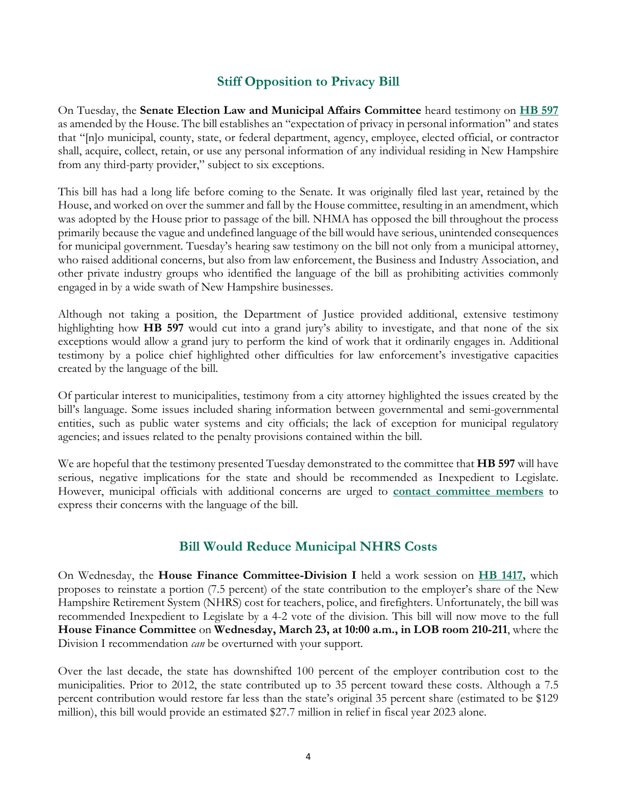## **Stiff Opposition to Privacy Bill**

On Tuesday, the **Senate Election Law and Municipal Affairs Committee** heard testimony on **[HB 597](http://www.gencourt.state.nh.us/bill_status/pdf.aspx?id=30070&q=billVersion)** as amended by the House. The bill establishes an "expectation of privacy in personal information" and states that "[n]o municipal, county, state, or federal department, agency, employee, elected official, or contractor shall, acquire, collect, retain, or use any personal information of any individual residing in New Hampshire from any third-party provider," subject to six exceptions.

This bill has had a long life before coming to the Senate. It was originally filed last year, retained by the House, and worked on over the summer and fall by the House committee, resulting in an amendment, which was adopted by the House prior to passage of the bill. NHMA has opposed the bill throughout the process primarily because the vague and undefined language of the bill would have serious, unintended consequences for municipal government. Tuesday's hearing saw testimony on the bill not only from a municipal attorney, who raised additional concerns, but also from law enforcement, the Business and Industry Association, and other private industry groups who identified the language of the bill as prohibiting activities commonly engaged in by a wide swath of New Hampshire businesses.

Although not taking a position, the Department of Justice provided additional, extensive testimony highlighting how **HB 597** would cut into a grand jury's ability to investigate, and that none of the six exceptions would allow a grand jury to perform the kind of work that it ordinarily engages in. Additional testimony by a police chief highlighted other difficulties for law enforcement's investigative capacities created by the language of the bill.

Of particular interest to municipalities, testimony from a city attorney highlighted the issues created by the bill's language. Some issues included sharing information between governmental and semi-governmental entities, such as public water systems and city officials; the lack of exception for municipal regulatory agencies; and issues related to the penalty provisions contained within the bill.

We are hopeful that the testimony presented Tuesday demonstrated to the committee that **HB 597** will have serious, negative implications for the state and should be recommended as Inexpedient to Legislate. However, municipal officials with additional concerns are urged to **[contact committee members](http://www.gencourt.state.nh.us/senate/committees/committee_details.aspx?cc=1421)** to express their concerns with the language of the bill.

## **Bill Would Reduce Municipal NHRS Costs**

On Wednesday, the **House Finance Committee-Division I** held a work session on **[HB 1417,](http://www.gencourt.state.nh.us/bill_status/pdf.aspx?id=28309&q=billVersion)** which proposes to reinstate a portion (7.5 percent) of the state contribution to the employer's share of the New Hampshire Retirement System (NHRS) cost for teachers, police, and firefighters. Unfortunately, the bill was recommended Inexpedient to Legislate by a 4-2 vote of the division. This bill will now move to the full **House Finance Committee** on **Wednesday, March 23, at 10:00 a.m., in LOB room 210-211**, where the Division I recommendation *can* be overturned with your support.

Over the last decade, the state has downshifted 100 percent of the employer contribution cost to the municipalities. Prior to 2012, the state contributed up to 35 percent toward these costs. Although a 7.5 percent contribution would restore far less than the state's original 35 percent share (estimated to be \$129 million), this bill would provide an estimated \$27.7 million in relief in fiscal year 2023 alone.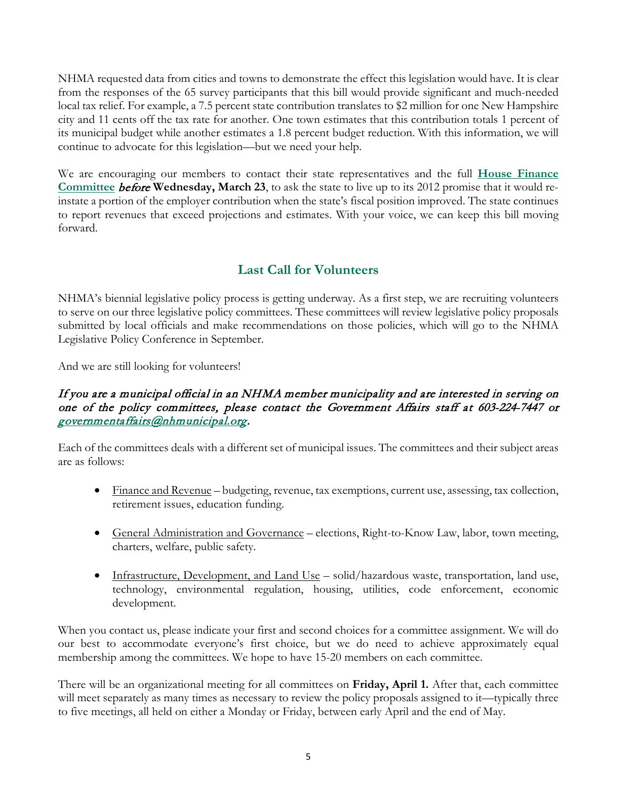NHMA requested data from cities and towns to demonstrate the effect this legislation would have. It is clear from the responses of the 65 survey participants that this bill would provide significant and much-needed local tax relief. For example, a 7.5 percent state contribution translates to \$2 million for one New Hampshire city and 11 cents off the tax rate for another. One town estimates that this contribution totals 1 percent of its municipal budget while another estimates a 1.8 percent budget reduction. With this information, we will continue to advocate for this legislation—but we need your help.

We are encouraging our members to contact their state representatives and the full **[House Finance](http://www.gencourt.state.nh.us/house/committees/committeedetails.aspx?id=22)  [Committee](http://www.gencourt.state.nh.us/house/committees/committeedetails.aspx?id=22)** before **Wednesday, March 23**, to ask the state to live up to its 2012 promise that it would reinstate a portion of the employer contribution when the state's fiscal position improved. The state continues to report revenues that exceed projections and estimates. With your voice, we can keep this bill moving forward.

# **Last Call for Volunteers**

NHMA's biennial legislative policy process is getting underway. As a first step, we are recruiting volunteers to serve on our three legislative policy committees. These committees will review legislative policy proposals submitted by local officials and make recommendations on those policies, which will go to the NHMA Legislative Policy Conference in September.

And we are still looking for volunteers!

#### If you are a municipal official in an NHMA member municipality and are interested in serving on one of the policy committees, please contact the Government Affairs staff at 603-224-7447 or [governmentaffairs@nhmunicipal.org.](mailto:governmentaffairs@nhmunicipal.org)

Each of the committees deals with a different set of municipal issues. The committees and their subject areas are as follows:

- Finance and Revenue budgeting, revenue, tax exemptions, current use, assessing, tax collection, retirement issues, education funding.
- General Administration and Governance elections, Right-to-Know Law, labor, town meeting, charters, welfare, public safety.
- Infrastructure, Development, and Land Use solid/hazardous waste, transportation, land use, technology, environmental regulation, housing, utilities, code enforcement, economic development.

When you contact us, please indicate your first and second choices for a committee assignment. We will do our best to accommodate everyone's first choice, but we do need to achieve approximately equal membership among the committees. We hope to have 15-20 members on each committee.

There will be an organizational meeting for all committees on **Friday, April 1.** After that, each committee will meet separately as many times as necessary to review the policy proposals assigned to it—typically three to five meetings, all held on either a Monday or Friday, between early April and the end of May.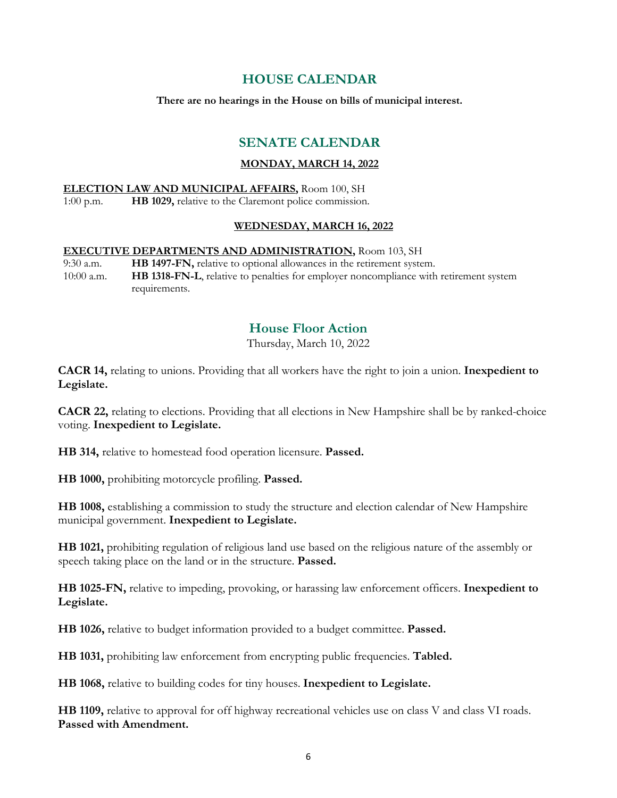#### **HOUSE CALENDAR**

**There are no hearings in the House on bills of municipal interest.**

#### **SENATE CALENDAR**

#### **MONDAY, MARCH 14, 2022**

## **ELECTION LAW AND MUNICIPAL AFFAIRS,** Room 100, SH

1:00 p.m. **HB 1029,** relative to the Claremont police commission.

#### **WEDNESDAY, MARCH 16, 2022**

#### **EXECUTIVE DEPARTMENTS AND ADMINISTRATION,** Room 103, SH

9:30 a.m. **HB 1497-FN,** relative to optional allowances in the retirement system. 10:00 a.m. **HB 1318-FN-L**, relative to penalties for employer noncompliance with retirement system requirements.

## **House Floor Action**

Thursday, March 10, 2022

**CACR 14,** relating to unions. Providing that all workers have the right to join a union. **Inexpedient to Legislate.**

**CACR 22,** relating to elections. Providing that all elections in New Hampshire shall be by ranked-choice voting. **Inexpedient to Legislate.**

**HB 314,** relative to homestead food operation licensure. **Passed.**

**HB 1000,** prohibiting motorcycle profiling. **Passed.**

**HB 1008,** establishing a commission to study the structure and election calendar of New Hampshire municipal government. **Inexpedient to Legislate.**

**HB 1021,** prohibiting regulation of religious land use based on the religious nature of the assembly or speech taking place on the land or in the structure. **Passed.**

**HB 1025-FN,** relative to impeding, provoking, or harassing law enforcement officers. **Inexpedient to Legislate.**

**HB 1026,** relative to budget information provided to a budget committee. **Passed.**

**HB 1031,** prohibiting law enforcement from encrypting public frequencies. **Tabled.**

**HB 1068,** relative to building codes for tiny houses. **Inexpedient to Legislate.**

**HB 1109,** relative to approval for off highway recreational vehicles use on class V and class VI roads. **Passed with Amendment.**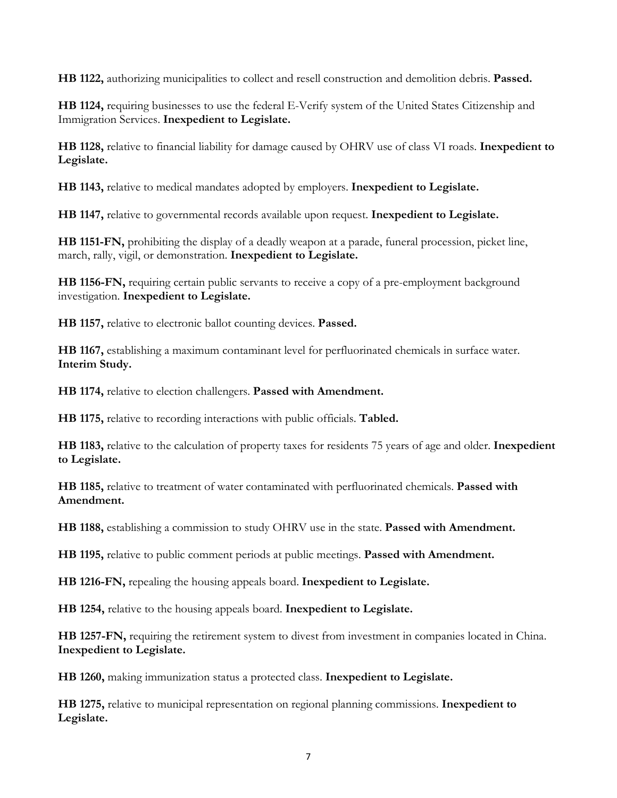**HB 1122,** authorizing municipalities to collect and resell construction and demolition debris. **Passed.**

**HB 1124,** requiring businesses to use the federal E-Verify system of the United States Citizenship and Immigration Services. **Inexpedient to Legislate.** 

**HB 1128,** relative to financial liability for damage caused by OHRV use of class VI roads. **Inexpedient to Legislate.**

**HB 1143,** relative to medical mandates adopted by employers. **Inexpedient to Legislate.**

**HB 1147,** relative to governmental records available upon request. **Inexpedient to Legislate.** 

**HB 1151-FN,** prohibiting the display of a deadly weapon at a parade, funeral procession, picket line, march, rally, vigil, or demonstration. **Inexpedient to Legislate.**

**HB 1156-FN,** requiring certain public servants to receive a copy of a pre-employment background investigation. **Inexpedient to Legislate.**

**HB 1157,** relative to electronic ballot counting devices. **Passed.**

**HB 1167,** establishing a maximum contaminant level for perfluorinated chemicals in surface water. **Interim Study.**

**HB 1174,** relative to election challengers. **Passed with Amendment.**

**HB 1175,** relative to recording interactions with public officials. **Tabled.**

**HB 1183,** relative to the calculation of property taxes for residents 75 years of age and older. **Inexpedient to Legislate.**

**HB 1185,** relative to treatment of water contaminated with perfluorinated chemicals. **Passed with Amendment.** 

**HB 1188,** establishing a commission to study OHRV use in the state. **Passed with Amendment.**

**HB 1195,** relative to public comment periods at public meetings. **Passed with Amendment.** 

**HB 1216-FN,** repealing the housing appeals board. **Inexpedient to Legislate.**

**HB 1254,** relative to the housing appeals board. **Inexpedient to Legislate.**

**HB 1257-FN,** requiring the retirement system to divest from investment in companies located in China. **Inexpedient to Legislate.**

**HB 1260,** making immunization status a protected class. **Inexpedient to Legislate.**

**HB 1275,** relative to municipal representation on regional planning commissions. **Inexpedient to Legislate.**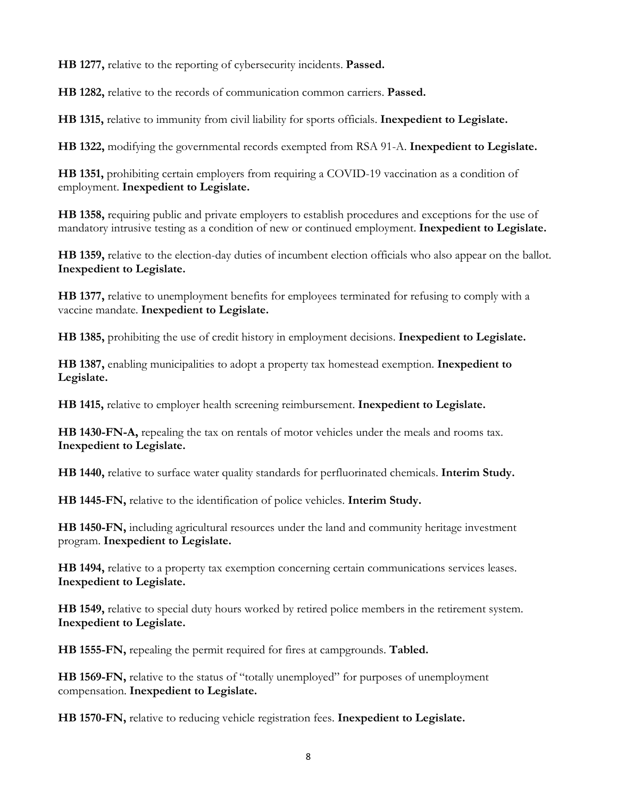**HB 1277,** relative to the reporting of cybersecurity incidents. **Passed.**

**HB 1282,** relative to the records of communication common carriers. **Passed.**

**HB 1315,** relative to immunity from civil liability for sports officials. **Inexpedient to Legislate.**

**HB 1322,** modifying the governmental records exempted from RSA 91-A. **Inexpedient to Legislate.** 

**HB 1351,** prohibiting certain employers from requiring a COVID-19 vaccination as a condition of employment. **Inexpedient to Legislate.**

**HB 1358,** requiring public and private employers to establish procedures and exceptions for the use of mandatory intrusive testing as a condition of new or continued employment. **Inexpedient to Legislate.**

**HB 1359,** relative to the election-day duties of incumbent election officials who also appear on the ballot. **Inexpedient to Legislate.**

**HB 1377,** relative to unemployment benefits for employees terminated for refusing to comply with a vaccine mandate. **Inexpedient to Legislate.**

**HB 1385,** prohibiting the use of credit history in employment decisions. **Inexpedient to Legislate.**

**HB 1387,** enabling municipalities to adopt a property tax homestead exemption. **Inexpedient to Legislate.** 

**HB 1415,** relative to employer health screening reimbursement. **Inexpedient to Legislate.**

**HB 1430-FN-A,** repealing the tax on rentals of motor vehicles under the meals and rooms tax. **Inexpedient to Legislate.**

**HB 1440,** relative to surface water quality standards for perfluorinated chemicals. **Interim Study.**

**HB 1445-FN,** relative to the identification of police vehicles. **Interim Study.**

**HB 1450-FN,** including agricultural resources under the land and community heritage investment program. **Inexpedient to Legislate.**

**HB 1494,** relative to a property tax exemption concerning certain communications services leases. **Inexpedient to Legislate.**

**HB 1549,** relative to special duty hours worked by retired police members in the retirement system. **Inexpedient to Legislate.**

**HB 1555-FN,** repealing the permit required for fires at campgrounds. **Tabled.**

**HB 1569-FN,** relative to the status of "totally unemployed" for purposes of unemployment compensation. **Inexpedient to Legislate.**

**HB 1570-FN,** relative to reducing vehicle registration fees. **Inexpedient to Legislate.**